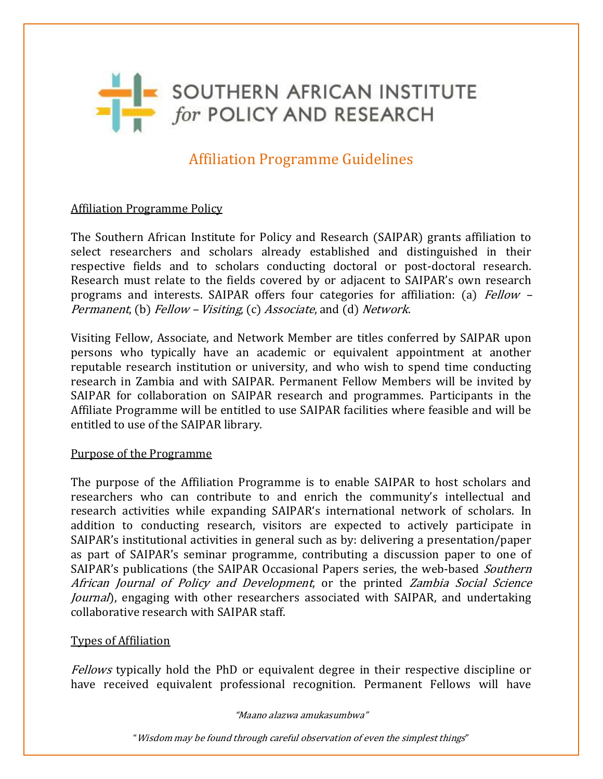

# Affiliation Programme Guidelines

## Affiliation Programme Policy

The Southern African Institute for Policy and Research (SAIPAR) grants affiliation to select researchers and scholars already established and distinguished in their respective fields and to scholars conducting doctoral or post-doctoral research. Research must relate to the fields covered by or adjacent to SAIPAR's own research programs and interests. SAIPAR offers four categories for affiliation: (a) Fellow -Permanent, (b) Fellow – Visiting, (c) Associate, and (d) Network.

Visiting Fellow, Associate, and Network Member are titles conferred by SAIPAR upon persons who typically have an academic or equivalent appointment at another reputable research institution or university, and who wish to spend time conducting research in Zambia and with SAIPAR. Permanent Fellow Members will be invited by SAIPAR for collaboration on SAIPAR research and programmes. Participants in the Affiliate Programme will be entitled to use SAIPAR facilities where feasible and will be entitled to use of the SAIPAR library.

#### Purpose of the Programme

The purpose of the Affiliation Programme is to enable SAIPAR to host scholars and researchers who can contribute to and enrich the community's intellectual and research activities while expanding SAIPAR's international network of scholars. In addition to conducting research, visitors are expected to actively participate in SAIPAR's institutional activities in general such as by: delivering a presentation/paper as part of SAIPAR's seminar programme, contributing a discussion paper to one of SAIPAR's publications (the SAIPAR Occasional Papers series, the web-based *Southern* African Journal of Policy and Development, or the printed Zambia Social Science Journal), engaging with other researchers associated with SAIPAR, and undertaking collaborative research with SAIPAR staff.

### Types of Affiliation

Fellows typically hold the PhD or equivalent degree in their respective discipline or have received equivalent professional recognition. Permanent Fellows will have

"Maano alazwa amukasumbwa"

"Wisdom may be found through careful observation of even the simplest things"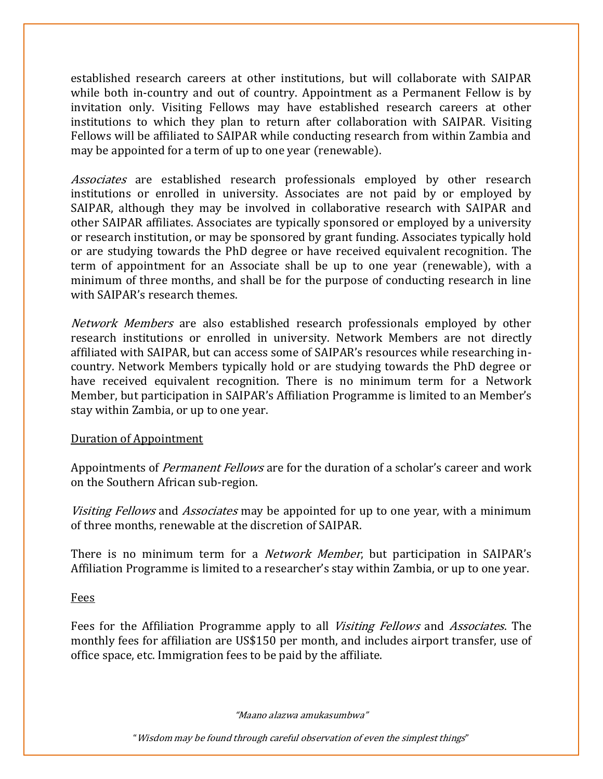established research careers at other institutions, but will collaborate with SAIPAR while both in-country and out of country. Appointment as a Permanent Fellow is by invitation only. Visiting Fellows may have established research careers at other institutions to which they plan to return after collaboration with SAIPAR. Visiting Fellows will be affiliated to SAIPAR while conducting research from within Zambia and may be appointed for a term of up to one year (renewable).

Associates are established research professionals employed by other research institutions or enrolled in university. Associates are not paid by or employed by SAIPAR, although they may be involved in collaborative research with SAIPAR and other SAIPAR affiliates. Associates are typically sponsored or employed by a university or research institution, or may be sponsored by grant funding. Associates typically hold or are studying towards the PhD degree or have received equivalent recognition. The term of appointment for an Associate shall be up to one year (renewable), with a minimum of three months, and shall be for the purpose of conducting research in line with SAIPAR's research themes.

Network Members are also established research professionals employed by other research institutions or enrolled in university. Network Members are not directly affiliated with SAIPAR, but can access some of SAIPAR's resources while researching incountry. Network Members typically hold or are studying towards the PhD degree or have received equivalent recognition. There is no minimum term for a Network Member, but participation in SAIPAR's Affiliation Programme is limited to an Member's stay within Zambia, or up to one year.

### Duration of Appointment

Appointments of *Permanent Fellows* are for the duration of a scholar's career and work on the Southern African sub-region.

Visiting Fellows and *Associates* may be appointed for up to one year, with a minimum of three months, renewable at the discretion of SAIPAR.

There is no minimum term for a *Network Member*, but participation in SAIPAR's Affiliation Programme is limited to a researcher's stay within Zambia, or up to one year.

Fees

Fees for the Affiliation Programme apply to all *Visiting Fellows* and *Associates*. The monthly fees for affiliation are US\$150 per month, and includes airport transfer, use of office space, etc. Immigration fees to be paid by the affiliate.

"Maano alazwa amukasumbwa"

"Wisdom may be found through careful observation of even the simplest things"